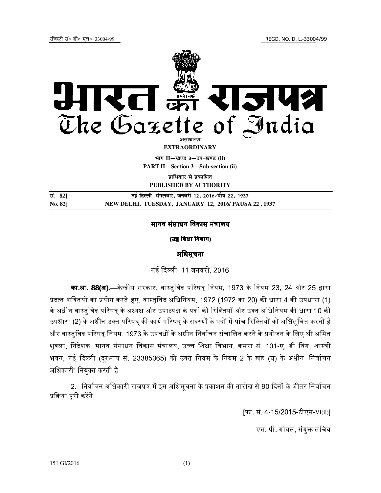

**PUBLISHED BY AUTHORITY**

**la- 82**] **ubZ fnYyh] eaxyokj] tuojh 12] 2016@ikS"k 22] 1937 No. 82] NEW DELHI, TUESDAY, JANUARY 12, 2016/ PAUSA 22 , 1937**

## मानव संसाधन विकास मंत्रालय**्**

(उच्च शिक्षा विभाग)

# अिधसूचना

नई दिल्ली 11 जनवरी 2016

**का.आ. 88(अ)**.—केन्द्रीय सरकार, वास्तविद परिषद नियम, 1973 के नियम 23, 24 और 25 द्वारा. प्रदत्त शक्तियों का प्रयोग करते हए. वास्तविद अधिनियम. 1972 (1972 का 20) की धारा 4 की उपधारा (1) के अधीन वास्तविद परिषद के अध्यक्ष और उपाध्यक्ष के पदों की रिक्तियों और उक्त अधिनियम की धारा 10 की उपधारा (2) के अधीन उक्त परिषद की कार्य परिषद के सदस्यों के पदों में पांच रिक्तियों को अधिसचित करती है और वास्तविद परिषद नियम. 1973 के उपबंधों के अधीन निर्वाचन संचालित करने के प्रयोजन के लिए श्री अमित शुक्ला, निदेशक, मानव संसाधन विकास मंत्रालय, उच्च शिक्षा विभाग, कमरा सं. 101-ए, डी विंग, शास्त्री भवन, नई दिल्ली (दरभाष सं. 23385365) को उक्त नियम के नियम 2 के खंड (घ) के अधीन 'निर्वाचन अधिकारी' नियुक्त करती है ।

2. निर्वाचन अधिकारी राजपत्र में इस अधिसचना के प्रकाशन की तारीख से 90 दिनों के भीतर निर्वाचन प्रक्रिया परी करेंगे ।

[फा. सं. 4-15/2015-टीएस-VI(ii)]

एस. पी. गोयल, संयक्त सचिव